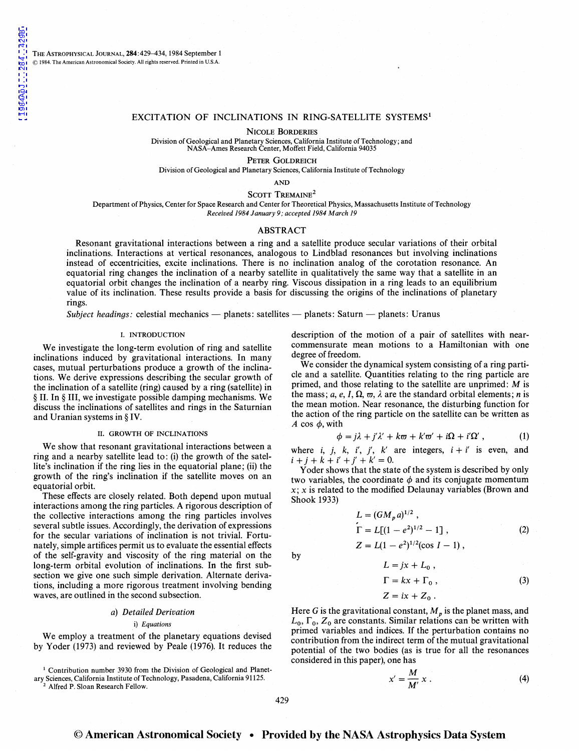THE ASTROPHYSICAL JOURNAL, 284:429-434, 1984 September 1 © **1984. The American Astronomical Society. All rights reserved. Printed in U.S.A.** 

### EXCITATION OF INCLINATIONS IN RING-SATELLITE SYSTEMS<sup>1</sup>

NICOLE BORDERIES

Division of Geological and Planetary Sciences, California Institute of Technology; and NASA-Ames Research Center, Moffett Field, California 94035

PETER GoLDREICH

Division of Geological and Planetary Sciences, California Institute of Technology

AND

SCOTT TREMAINE<sup>2</sup>

Department of Physics, Center for Space Research and Center for Theoretical Physics, Massachusetts Institute of Technology *Received 1984 January 9; accepted 1984 March 19* 

### ABSTRACT

Resonant gravitational interactions between a ring and a satellite produce secular variations of their orbital inclinations. Interactions at vertical resonances, analogous to Lindblad resonances but involving inclinations instead of eccentricities, excite inclinations. There is no inclination analog of the corotation resonance. An equatorial ring changes the inclination of a nearby satellite in qualitatively the same way that a satellite in an equatorial orbit changes the inclination of a nearby ring. Viscous dissipation in a ring leads to an equilibrium value of its inclination. These results provide a basis for discussing the origins of the inclinations of planetary rings.

*Subject headings: celestial mechanics — planets: satellites — planets: Saturn — planets: Uranus* 

### I. INTRODUCTION

We investigate the long-term evolution of ring and satellite inclinations induced by gravitational interactions. In many cases, mutual perturbations produce a growth of the inclinations. We derive expressions describing the secular growth of the inclination of a satellite (ring) caused by a ring (satellite) in §II. In§ III, we investigate possible damping mechanisms. We discuss the inclinations of satellites and rings in the Saturnian and Uranian systems in§ IV.

### II. GROWTH OF INCLINATIONS

We show that resonant gravitational interactions between a ring and a nearby satellite lead to: (i) the growth of the satellite's inclination if the ring lies in the equatorial plane; (ii) the growth of the ring's inclination if the satellite moves on an equatorial orbit.

These effects are closely related. Both depend upon mutual interactions among the ring particles. A rigorous description of the collective interactions among the ring particles involves several subtle issues. Accordingly, the derivation of expressions for the secular variations of inclination is not trivial. Fortunately, simple artifices permit us to evaluate the essential effects of the self-gravity and viscosity of the ring material on the long-term orbital evolution of inclinations. In the first subsection we give one such simple derivation. Alternate derivations, including a more rigorous treatment involving bending waves, are outlined in the second subsection.

### *a) Detailed Derivation*

### i) *Equations*

We employ a treatment of the planetary equations devised by Yoder (1973) and reviewed by Peale (1976). It reduces the

<sup>1</sup> Contribution number 3930 from the Division of Geological and Planetary Sciences, California Institute of Technology, Pasadena, California 91125. 2 Alfred P. Sloan Research Fellow.

description of the motion of a pair of satellites with nearcommensurate mean motions to a Hamiltonian with one degree of freedom.

We consider the dynamical system consisting of a ring particle and a satellite. Quantities relating to the ring particle are primed, and those relating to the satellite are unprimed: *M* is the mass; *a, e, I,*  $\Omega$ *,*  $\varpi$ *,*  $\lambda$  are the standard orbital elements; *n* is the mean motion. Near resonance, the disturbing function for the action of the ring particle on the satellite can be written as  $A \cos \phi$ , with

$$
\phi = j\lambda + j'\lambda' + k\varpi + k'\varpi' + i\Omega + i'\Omega', \qquad (1)
$$

where *i, j, k, i', j', k'* are integers,  $i + i'$  is even, and  $i + j + k + i' + j' + k' = 0.$ 

Yoder shows that the state of the system is described by only two variables, the coordinate  $\phi$  and its conjugate momentum  $x$ ; x is related to the modified Delaunay variables (Brown and Shook 1933)

$$
L = (GM_p a)^{1/2},
$$
  
\n
$$
\Gamma = L[(1 - e^2)^{1/2} - 1],
$$
  
\n
$$
Z = L(1 - e^2)^{1/2}(\cos I - 1),
$$
\n(2)

by

$$
L = jx + L_0,
$$
  
\n
$$
\Gamma = kx + \Gamma_0,
$$
  
\n
$$
Z = ix + Z_0.
$$
\n(3)

Here G is the gravitational constant,  $M_p$  is the planet mass, and  $L_0$ ,  $\Gamma_0$ ,  $Z_0$  are constants. Similar relations can be written with primed variables and indices. If the perturbation contains no contribution from the indirect term of the mutual gravitational potential of the two bodies (as is true for all the resonances considered in this paper), one has

$$
x' = \frac{M}{M'} x . \tag{4}
$$

## © **American Astronomical Society • Provided by the NASA Astrophysics Data System**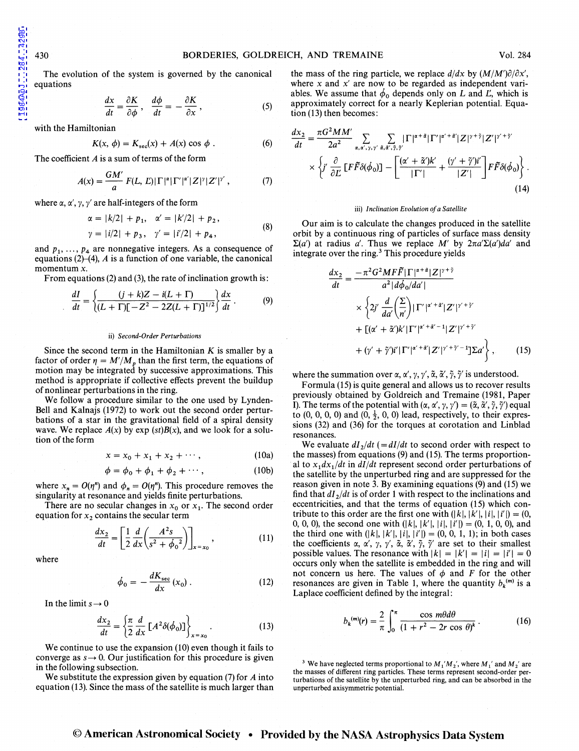The evolution of the system is governed by the canonical equations

$$
\frac{dx}{dt} = \frac{\partial K}{\partial \phi}, \quad \frac{d\phi}{dt} = -\frac{\partial K}{\partial x}, \tag{5}
$$

with the Hamiltonian

$$
K(x, \phi) = K_{\rm sec}(x) + A(x) \cos \phi . \tag{6}
$$

The coefficient *A* is a sum of terms of the form

$$
A(x) = \frac{GM'}{a} F(L, L) |\Gamma|^{\alpha} |\Gamma'|^{\alpha'} |Z|^{\gamma} |Z'|^{\gamma'}, \qquad (7)
$$

where  $\alpha$ ,  $\alpha'$ ,  $\gamma$ ,  $\gamma'$  are half-integers of the form

$$
\alpha = |k/2| + p_1, \quad \alpha' = |k'/2| + p_2,
$$
  
\n
$$
\gamma = |i/2| + p_3, \quad \gamma' = |i'/2| + p_4,
$$
\n(8)

and  $p_1, \ldots, p_4$  are nonnegative integers. As a consequence of equations  $(2)$ – $(4)$ ,  $A$  is a function of one variable, the canonical momentum x.

From equations (2) and (3), the rate of inclination growth is:

$$
\frac{dI}{dt} = \left\{ \frac{(j+k)Z - i(L+\Gamma)}{(L+\Gamma)[-Z^2 - 2Z(L+\Gamma)]^{1/2}} \right\} \frac{dx}{dt} \,. \tag{9}
$$

### ii) *Second-Order Perturbations*

Since the second term in the Hamiltonian *K* is smaller by a factor of order  $\eta = M'/M_p$  than the first term, the equations of motion may be integrated by successive approximations. This method is appropriate if collective effects prevent the buildup of nonlinear perturbations in the ring.

We follow a procedure similar to the one used by Lynden-Bell and Kalnajs (1972) to work out the second order perturbations of a star in the gravitational field of a spiral density wave. We replace  $A(x)$  by exp (st)B(x), and we look for a solution of the form

$$
x = x_0 + x_1 + x_2 + \cdots, \qquad (10a)
$$

$$
\phi = \phi_0 + \phi_1 + \phi_2 + \cdots, \qquad (10b)
$$

where  $x_n = O(\eta^n)$  and  $\phi_n = O(\eta^n)$ . This procedure removes the singularity at resonance and yields finite perturbations.

There are no secular changes in  $x_0$  or  $x_1$ . The second order equation for  $x_2$  contains the secular term

$$
\frac{dx_2}{dt} = \left[\frac{1}{2}\frac{d}{dx}\left(\frac{A^2s}{s^2 + \phi_0^2}\right)\right]_{x = x_0},
$$
\n(11)

where

$$
\dot{\phi}_0 = -\frac{dK_{\rm sec}}{dx}(x_0) \,. \tag{12}
$$

In the limit  $s \rightarrow 0$ 

$$
\frac{dx_2}{dt} = \left\{ \frac{\pi}{2} \frac{d}{dx} \left[ A^2 \delta(\phi_0) \right] \right\}_{x = x_0} . \tag{13}
$$

We continue to use the expansion (10) even though it fails to converge as  $s \rightarrow 0$ . Our justification for this procedure is given in the following subsection.

We substitute the expression given by equation (7) for *A* into equation (13). Since the mass of the satellite is much larger than

the mass of the ring particle, we replace  $d/dx$  by  $(M/M')\partial/\partial x'$ , where  $x$  and  $x'$  are now to be regarded as independent variables. We assume that  $\dot{\phi}_0$  depends only on L and L, which is approximately correct for a nearly Keplerian potential. Equation (13) then becomes:

$$
\frac{dx_2}{dt} = \frac{\pi G^2 M M'}{2a^2} \sum_{\alpha, \alpha', \gamma, \gamma'} \sum_{\tilde{\alpha}, \tilde{\alpha}', \tilde{\gamma}, \tilde{\gamma}'} |\Gamma|^{\alpha + \tilde{\alpha}} |\Gamma'|^{\alpha' + \tilde{\alpha}'} |Z|^{\gamma + \tilde{\gamma}} |Z'|^{\gamma' + \tilde{\gamma}'}\n\n\times \left\{ j' \frac{\partial}{\partial L} [\Gamma \tilde{F} \delta(\phi_0)] - \left[ \frac{(\alpha' + \tilde{\alpha}')k'}{|\Gamma'|} + \frac{(\gamma' + \tilde{\gamma}')i'}{|Z'|} \right] F \tilde{F} \delta(\phi_0) \right\}.
$$
\n(14)

### iii) *Inclination Evolution of a Satellite*

Our aim is to calculate the changes produced in the satellite orbit by a continuous ring of particles of surface mass density  $\Sigma(a')$  at radius *a'*. Thus we replace *M'* by  $2\pi a'\Sigma(a')da'$  and integrate over the ring.<sup>3</sup> This procedure yields

$$
\frac{dx_2}{dt} = \frac{-\pi^2 G^2 M F \tilde{F} |\Gamma|^{\alpha+\tilde{\alpha}} |Z|^{\gamma+\tilde{\gamma}}}{a^2 |d\phi_0/da'|}\n\times \left\{2j' \frac{d}{da'} \left(\frac{\Sigma}{n'}\right) |\Gamma'|^{\alpha'+\tilde{\alpha}} |Z'|^{\gamma'+\tilde{\gamma}'}\n+ \left[(\alpha' + \tilde{\alpha}')k' |\Gamma'|^{\alpha'+\tilde{\alpha}'-1} |Z'|^{\gamma'+\tilde{\gamma}'}\n+ (\gamma' + \tilde{\gamma}')i' |\Gamma'|^{\alpha'+\tilde{\alpha}} |Z'|^{\gamma'+\tilde{\gamma}'-1} \right] \Sigma a'}\n+ (y' + \tilde{\gamma}')i' |\Gamma'|^{\alpha'+\tilde{\alpha}} |Z'|^{\gamma'+\tilde{\gamma}'-1} \Sigma a'\right\},
$$
\n(15)

where the summation over  $\alpha$ ,  $\alpha'$ ,  $\gamma$ ,  $\gamma'$ ,  $\tilde{\alpha}$ ,  $\tilde{\alpha}'$ ,  $\tilde{\gamma}$ ,  $\tilde{\gamma}'$  is understood.

Formula (15) is quite general and allows us to recover results previously obtained by Goldreich and Tremaine (1981, Paper **1).** The terms of the potential with  $(\alpha, \alpha', \gamma, \gamma') = (\tilde{\alpha}, \tilde{\alpha}', \tilde{\gamma}, \tilde{\gamma}')$  equal to  $(0, 0, 0, 0)$  and  $(0, \frac{1}{2}, 0, 0)$  lead, respectively, to their expressions (32) and (36) for the torques at corotation and Linblad resonances.

We evaluate  $dI_2/dt$  ( $= dI/dt$  to second order with respect to the masses) from equations (9) and (15). The terms proportional to  $x_1 dx_1/dt$  in  $d\vec{l}/dt$  represent second order perturbations of the satellite by the unperturbed ring and are suppressed for the reason given in note 3. By examining equations (9) and (15) we find that  $dI_2/dt$  is of order 1 with respect to the inclinations and eccentricities, and that the terms of equation (15) which contribute to this order are the first one with  $(|k|, |k'|, |i|, |i'|) = (0,$ 0, 0, 0), the second one with  $(|k|, |k'|, |i|, |i'|) = (0, 1, 0, 0)$ , and the third one with  $(|k|, |k'|, |i|, |i'|) = (0, 0, 1, 1)$ ; in both cases the coefficients  $\alpha$ ,  $\alpha'$ ,  $\gamma$ ,  $\gamma'$ ,  $\tilde{\alpha}$ ,  $\tilde{\alpha}'$ ,  $\tilde{\gamma}$ ,  $\tilde{\gamma}'$  are set to their smallest possible values. The resonance with  $|k| = |k'| = |i| = |i'| = 0$ occurs only when the satellite is embedded in the ring and will not concern us here. The values of  $\phi$  and F for the other resonances are given in Table 1, where the quantity  $b_k^{(m)}$  is a Laplace coefficient defined by the integral:

$$
b_k^{(m)}(r) = \frac{2}{\pi} \int_0^{\pi} \frac{\cos m\theta d\theta}{(1 + r^2 - 2r\cos\theta)^k}.
$$
 (16)

<sup>3</sup> We have neglected terms proportional to  $M_1' M_2'$ , where  $M_1'$  and  $M_2'$  are the masses of different ring particles. These terms represent second-order perturbations of the satellite by the unperturbed ring, and can be absorbed in the unperturbed axisymmetric potential.

# © **American Astronomical Society • Provided by the NASA Astrophysics Data System**

1984ApJ...284..429B [1984ApJ...284..429B](http://adsabs.harvard.edu/abs/1984ApJ...284..429B)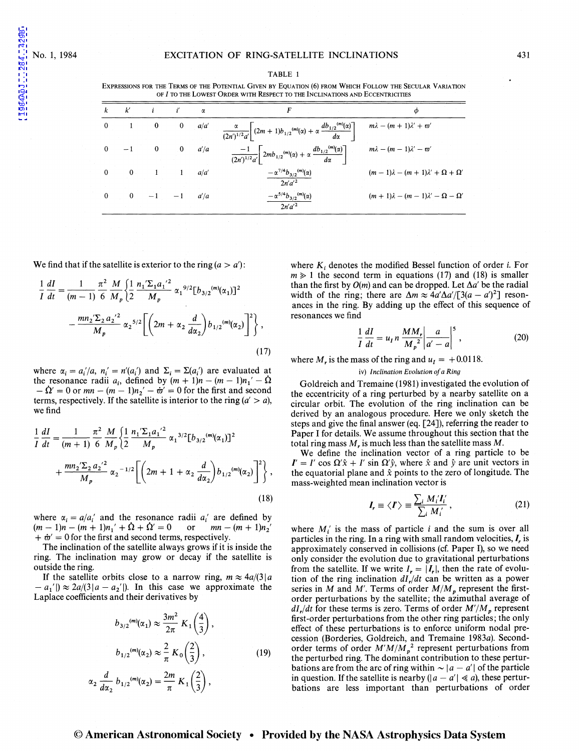1984ApJ...284..429B

TABLE 1 EXPRESSIONS FOR THE TERMS OF THE POTENTIAL GIVEN BY EQUATION (6) FROM WHICH FOLLOW THE SECULAR VARIATION OF *I* TO THE LOWEST ORDER WITH RESPECT TO THE INCLINATIONS AND ECCENTRICITIES

|              |          |                     |                          | $\alpha$ | F                                                                                                                        | Φ                                                 |
|--------------|----------|---------------------|--------------------------|----------|--------------------------------------------------------------------------------------------------------------------------|---------------------------------------------------|
| $\mathbf{0}$ |          | $\bf{0}$            | $\mathbf{0}$             | a/a'     | $\frac{\alpha}{(2n')^{1/2}a'}\left[ (2m+1)b_{1/2}^{(m)}(\alpha) + \alpha \frac{db_{1/2}^{(m)}(\alpha)}{d\alpha} \right]$ | $m\lambda - (m+1)\lambda' + \varpi'$              |
| $\Omega$     |          | $-1$ 0              | $\overline{\phantom{0}}$ | a'/a     | $\frac{-1}{(2n')^{1/2}a'}\left[2mb_{1/2}^{(m)}(\alpha)+\alpha\frac{db_{1/2}^{(m)}(\alpha)}{d\alpha}\right]$              | $m\lambda - (m-1)\lambda' - \varpi'$              |
| $\mathbf{0}$ |          | $0 \qquad \qquad 1$ |                          | a/a'     | $-\alpha^{7/4}b_{3/2}^{(m)}(\alpha)$<br>$2n^{\prime}a^{\prime 2}$                                                        | $(m-1)\lambda - (m+1)\lambda' + \Omega + \Omega'$ |
| $\theta$     | $\Omega$ | $-1$ $-1$           |                          | a'/a     | $-\alpha^{5/4}b_{3/2}^{(m)}(\alpha)$<br>$2n'a'^2$                                                                        | $(m+1)\lambda - (m-1)\lambda' - \Omega - \Omega'$ |

We find that if the satellite is exterior to the ring  $(a > a')$ :

$$
\frac{1}{I} \frac{dI}{dt} = \frac{1}{(m-1)} \frac{\pi^2}{6} \frac{M}{M_p} \left\{ \frac{1}{2} \frac{n_1' \Sigma_1 a_1'^2}{M_p} \alpha_1^{9/2} [b_{3/2}^{(m)}(\alpha_1)]^2 - \frac{mn_2' \Sigma_2 a_2'^2}{M_p} \alpha_2^{5/2} \left[ \left( 2m + \alpha_2 \frac{d}{d\alpha_2} \right) b_{1/2}^{(m)}(\alpha_2) \right]^2 \right\},
$$
\n(17)

where  $\alpha_i = a_i'/a$ ,  $n'_i = n'(a'_i)$  and  $\Sigma_i = \Sigma(a'_i)$  are evaluated at the resonance radii  $a_i$ , defined by  $(m + 1)n - (m - 1)n_1' - \Omega$  $-\dot{\Omega}' = 0$  or  $mn - (m-1)n_2' - \dot{\varpi}' = 0$  for the first and second terms, respectively. If the satellite is interior to the ring  $(a' > a)$ , we find

$$
\frac{1}{I} \frac{dI}{dt} = \frac{1}{(m+1)} \frac{\pi^2}{6} \frac{M}{M_p} \left\{ \frac{1}{2} \frac{n_1' \Sigma_1 a_1'^2}{M_p} \alpha_1^{3/2} [b_{3/2}^{(m)}(\alpha_1)]^2 + \frac{mn_2' \Sigma_2 a_2'^2}{M_p} \alpha_2^{-1/2} \left[ \left( 2m + 1 + \alpha_2 \frac{d}{d\alpha_2} \right) b_{1/2}^{(m)}(\alpha_2) \right]^2 \right\},
$$
\n(18)

where  $\alpha_i = a/a'_i$  and the resonance radii  $a'_i$  are defined by  $(m-1)n - (m + 1)n_1' + \Omega + \Omega' = 0$  or  $mn - (m + 1)n_2'$  $+ \dot{\varpi}' = 0$  for the first and second terms, respectively.

The inclination of the satellite always grows if it is inside the ring. The inclination may grow or decay if the satellite is outside the ring.

If the satellite orbits close to a narrow ring,  $m \approx 4a/(3|a|)$  $- a_1'$   $\gg$  2a/(3|a - a<sub>2</sub>'). In this case we approximate the Laplace coefficients and their derivatives by

$$
b_{3/2}^{(m)}(\alpha_1) \approx \frac{3m^2}{2\pi} K_1\left(\frac{4}{3}\right),
$$
  

$$
b_{1/2}^{(m)}(\alpha_2) \approx \frac{2}{\pi} K_0\left(\frac{2}{3}\right),
$$
  

$$
\alpha_2 \frac{d}{d\alpha_2} b_{1/2}^{(m)}(\alpha_2) = \frac{2m}{\pi} K_1\left(\frac{2}{3}\right),
$$
 (19)

where  $K_i$  denotes the modified Bessel function of order *i*. For  $m \geq 1$  the second term in equations (17) and (18) is smaller than the first by  $O(m)$  and can be dropped. Let  $\Delta a'$  be the radial width of the ring; there are  $\Delta m \approx 4a' \Delta a' / [3(a - a')^2]$  resonances in the ring. By adding up the effect of this sequence of resonances we find

$$
\frac{1}{I}\frac{dI}{dt} = u_I n \frac{MM_r}{M_p^2} \bigg| \frac{a}{a' - a} \bigg|^5,
$$
\n(20)

where  $M_r$  is the mass of the ring and  $u_I = +0.0118$ .

### iv) *Inclination Evolution of a Ring*

Goldreich and Tremaine (1981) investigated the evolution of the eccentricity of a ring perturbed by a nearby satellite on a circular orbit. The evolution of the ring inclination can be derived by an analogous procedure. Here we only sketch the steps and give the final answer (eq. [24]), referring the reader to Paper I for details. We assume throughout this section that the total ring mass  $M<sub>r</sub>$  is much less than the satellite mass  $M$ .

We define the inclination vector of a ring particle to be  $I' = I' \cos \Omega' \hat{x} + I' \sin \Omega' \hat{y}$ , where  $\hat{x}$  and  $\hat{y}$  are unit vectors in the equatorial plane and  $\hat{x}$  points to the zero of longitude. The mass-weighted mean inclination vector is

$$
I_r \equiv \langle I' \rangle \equiv \frac{\sum_i M'_i I'_i}{\sum_i M'_i}, \qquad (21)
$$

where  $M_i$  is the mass of particle i and the sum is over all particles in the ring. In a ring with small random velocities,  $I_r$  is approximately conserved in collisions (cf. Paper **1),** so we need only consider the evolution due to gravitational perturbations from the satellite. If we write  $I_r = |I_r|$ , then the rate of evolution of the ring inclination *di,/dt* can be written as a power series in *M* and *M'*. Terms of order  $M/M_p$  represent the firstorder perturbations by the satellite; the azimuthal average of  $dI_r/dt$  for these terms is zero. Terms of order  $M'/M_p$  represent first-order perturbations from the other ring particles; the only effect of these perturbations is to enforce uniform nodal precession (Borderies, Goldreich, and Tremaine 1983a). Secondorder terms of order  $M'M/M_p^2$  represent perturbations from the perturbed ring. The dominant contribution to these perturbations are from the arc of ring within  $\sim |a - a'|$  of the particle in question. If the satellite is nearby ( $|a - a'| \ll a$ ), these perturbations are less important than perturbations of order

## © **American Astronomical Society • Provided by the NASA Astrophysics Data System**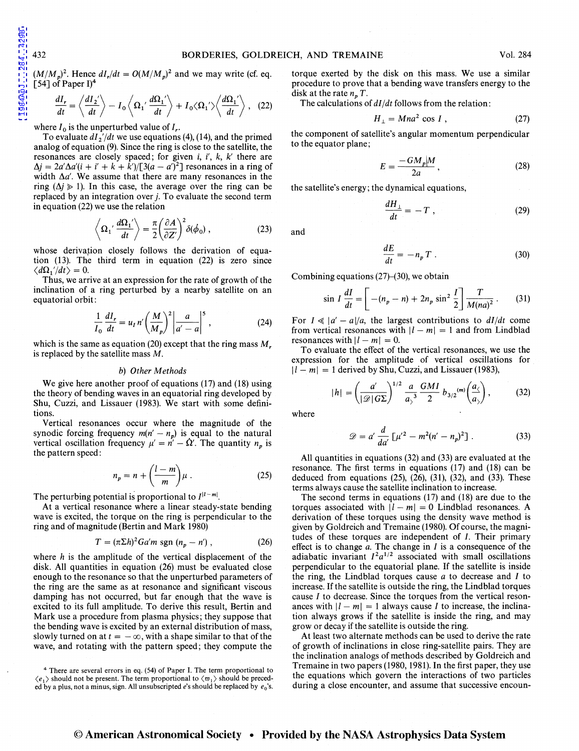1984ApJ...284..429B

 $(M/M_p)^2$ . Hence  $dI_r/dt = O(M/M_p)^2$  and we may write (cf. eq. [54] of Paper I $)^4$ 

$$
\frac{dI_r}{dt} = \left\langle \frac{dI_2'}{dt} \right\rangle - I_0 \left\langle \Omega_1' \frac{d\Omega_1'}{dt} \right\rangle + I_0 \langle \Omega_1' \rangle \left\langle \frac{d\Omega_1'}{dt} \right\rangle, \quad (22)
$$

where  $I_0$  is the unperturbed value of  $I_r$ .

To evaluate  $dI_2/dt$  we use equations (4), (14), and the primed analog of equation (9). Since the ring is close to the satellite, the resonances are closely spaced; for given *i, i',* k, k' there are  $\Delta j = 2a'\Delta a'(i + i' + k + k')/[3(a - a')^2]$  resonances in a ring of width  $\Delta a'$ . We assume that there are many resonances in the ring  $(\Delta j \geq 1)$ . In this case, the average over the ring can be replaced by an integration over j. To evaluate the second term in equation (22) we use the relation

$$
\left\langle \Omega_1' \frac{d\Omega_1'}{dt} \right\rangle = \frac{\pi}{2} \left( \frac{\partial A}{\partial Z'} \right)^2 \delta(\phi_0) , \qquad (23)
$$

whose derivation closely follows the derivation of equation (13). The third term in equation (22) is zero since  $\langle d\Omega_1'/dt \rangle = 0.$ 

Thus, we arrive at an expression for the rate of growth of the inclination of a ring perturbed by a nearby satellite on an equatorial orbit:

$$
\frac{1}{I_0}\frac{dI_r}{dt} = u_I n' \left(\frac{M}{M_p}\right)^2 \left|\frac{a}{a'-a}\right|^5, \qquad (24)
$$

which is the same as equation (20) except that the ring mass  $M_r$ is replaced by the satellite mass M.

### b) *Other Methods*

We give here another proof of equations (17) and (18) using the theory of bending waves in an equatorial ring developed by Shu, Cuzzi, and Lissauer (1983). We start with some definitions.

Vertical resonances occur where the magnitude of the synodic forcing frequency  $m(n'-n_p)$  is equal to the natural vertical oscillation frequency  $\mu' = n' - \dot{\Omega}'$ . The quantity  $n_p$  is the pattern speed:

$$
n_p = n + \left(\frac{l-m}{m}\right)\mu\,. \tag{25}
$$

The perturbing potential is proportional to  $I^{|l-m|}$ .

At a vertical resonance where a linear steady-state bending wave is excited, the torque on the ring is perpendicular to the ring and of magnitude (Bertin and Mark 1980)

$$
T = (\pi \Sigma h)^2 G a' m \operatorname{sgn} (n_p - n') , \qquad (26)
$$

where  $h$  is the amplitude of the vertical displacement of the disk. All quantities in equation (26) must be evaluated close enough to the resonance so that the unperturbed parameters of the ring are the same as at resonance and significant viscous damping has not occurred, but far enough that the wave is excited to its full amplitude. To derive this result, Bertin and Mark use a procedure from plasma physics; they suppose that the bending wave is excited by an external distribution of mass, slowly turned on at  $t = -\infty$ , with a shape similar to that of the wave, and rotating with the pattern speed; they compute the torque exerted by the disk on this mass. We use a similar procedure to prove that a bending wave transfers energy to the disk at the rate  $n_p T$ .

The calculations of *di/dt* follows from the relation:

$$
H_{\perp} = Mna^2 \cos I , \qquad (27)
$$

the component of satellite's angular momentum perpendicular to the equator plane;

$$
E = \frac{-GM_p|M}{2a},\qquad(28)
$$

the satellite's energy; the dynamical equations,

$$
\frac{dH_{\perp}}{dt} = -T \tag{29}
$$

$$
\frac{dE}{dt} = -n_p T \ . \tag{30}
$$

Combining equations  $(27)$ – $(30)$ , we obtain

$$
\sin I \frac{dI}{dt} = \left[ -(n_p - n) + 2n_p \sin^2 \frac{I}{2} \right] \frac{T}{M(na)^2} \,. \tag{31}
$$

For  $I \ll |a'-a|/a$ , the largest contributions to  $dI/dt$  come from vertical resonances with  $|l - m| = 1$  and from Lindblad resonances with  $|l - m| = 0$ .

To evaluate the effect of the vertical resonances, we use the expression for the amplitude of vertical oscillations for  $|l - m| = 1$  derived by Shu, Cuzzi, and Lissauer (1983),

$$
|h| = \left(\frac{a'}{|\mathcal{D}|G\Sigma}\right)^{1/2} \frac{a}{a_2^3} \frac{GMI}{2} b_{3/2}^{(m)} \left(\frac{a_2}{a_2}\right),\tag{32}
$$

where

$$
\mathcal{D} = a' \frac{d}{da'} \left[ \mu'^2 - m^2 (n' - n_p)^2 \right]. \tag{33}
$$

All quantities in equations (32) and (33) are evaluated at the resonance. The first terms in equations (17) and (18) can be deduced from equations  $(25)$ ,  $(26)$ ,  $(31)$ ,  $(32)$ , and  $(33)$ . These terms always cause the satellite inclination to increase.

The second terms in equations (17) and (18) are due to the torques associated with  $|l - m| = 0$  Lindblad resonances. A derivation of these torques using the density wave method is given by Goldreich and Tremaine (1980). Of course, the magnitudes of these torques are independent of I. Their primary effect is to change *a.* The change in I is a consequence of the adiabatic invariant  $I^2 a^{1/2}$  associated with small oscillations perpendicular to the equatorial plane. If the satellite is inside the ring, the Lindblad torques cause  $a$  to decrease and  $I$  to increase. If the satellite is outside the ring, the Lindblad torques cause I to decrease. Since the torques from the vertical resonances with  $|l - m| = 1$  always cause I to increase, the inclination always grows if the satellite is inside the ring, and may grow or decay if the satellite is outside the ring.

At least two alternate methods can be used to derive the rate of growth of inclinations in close ring-satellite pairs. They are the inclination analogs of methods described by Goldreich and Tremaine in two papers (1980, 1981). In the first paper, they use the equations which govern the interactions of two particles during a close encounter, and assume that successive encoun-

and

<sup>4</sup> There are several errors in eq. (54) of Paper I. The term proportional to  $\langle e_1 \rangle$  should not be present. The term proportional to  $\langle \varpi_1 \rangle$  should be preceded by a plus, not a minus, sign. All unsubscripted  $e$ 's should be replaced by  $e_0$ 's.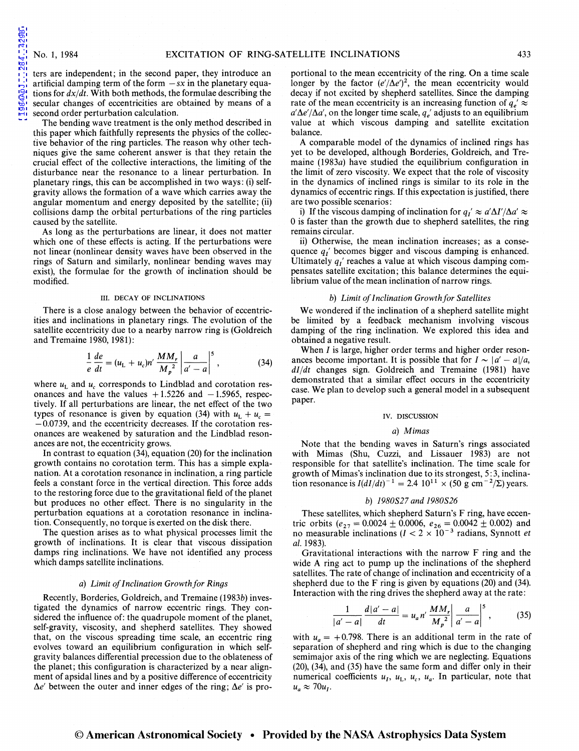ters are independent; in the second paper, they introduce an artificial damping term of the form  $-sx$  in the planetary equations for *dx/dt.* With both methods, the formulae describing the secular changes of eccentricities are obtained by means of a second order perturbation calculation.

The bending wave treatment is the only method described in this paper which faithfully represents the physics of the collective behavior of the ring particles. The reason why other techniques give the same coherent answer is that they retain the crucial effect of the collective interactions, the limiting of the disturbance near the resonance to a linear perturbation. In planetary rings, this can be accomplished in two ways: (i) selfgravity allows the formation of a wave which carries away the angular momentum and energy deposited by the satellite; (ii) collisions damp the orbital perturbations of the ring particles caused by the satellite.

As long as the perturbations are linear, it does not matter which one of these effects is acting. If the perturbations were not linear (nonlinear density waves have been observed in the rings of Saturn and similarly, nonlinear bending waves may exist), the formulae for the growth of inclination should be modified.

### III. DECAY OF INCLINATIONS

There is a close analogy between the behavior of eccentricities and inclinations in planetary rings. The evolution of the satellite eccentricity due to a nearby narrow ring is (Goldreich and Tremaine 1980, 1981):

$$
\frac{1}{e}\frac{de}{dt} = (u_{\rm L} + u_{\rm c})n'\frac{MM_r}{M_p^2}\left|\frac{a}{a'-a}\right|^5, \tag{34}
$$

where  $u<sub>L</sub>$  and  $u<sub>c</sub>$  corresponds to Lindblad and corotation resonances and have the values  $+1.5226$  and  $-1.5965$ , respectively. If all perturbations are linear, the net effect of the two types of resonance is given by equation (34) with  $u_L + u_c =$  $-0.0739$ , and the eccentricity decreases. If the corotation resonances are weakened by saturation and the Lindblad resonances are not, the eccentricity grows.

In contrast to equation (34), equation (20) for the inclination growth contains no corotation term. This has a simple explanation. At a corotation resonance in inclination, a ring particle feels a constant force in the vertical direction. This force adds to the restoring force due to the gravitational field of the planet but produces no other effect. There is no singularity in the perturbation equations at a corotation resonance in inclination. Consequently, no torque is exerted on the disk there.

The question arises as to what physical processes limit the growth of inclinations. It is clear that viscous dissipation damps ring inclinations. We have not identified any process which damps satellite inclinations.

### a) *Limit of Inclination Growth for Rings*

Recently, Borderies, Goldreich, and Tremaine (1983b) investigated the dynamics of narrow eccentric rings. They considered the influence of: the quadrupole moment of the planet, self-gravity, viscosity, and shepherd satellites. They showed that, on the viscous spreading time scale, an eccentric ring evolves toward an equilibrium configuration in which selfgravity balances differential precession due to the oblateness of the planet; this configuration is characterized by a near alignment of apsidal lines and by a positive difference of eccentricity  $\Delta e'$  between the outer and inner edges of the ring;  $\Delta e'$  is pro-

portional to the mean eccentricity of the ring. On a time scale longer by the factor  $(e'/\Delta e')^2$ , the mean eccentricity would decay if not excited by shepherd satellites. Since the damping rate of the mean eccentricity is an increasing function of  $q_e' \approx$  $a'\Delta e'/\Delta a'$ , on the longer time scale,  $q_e'$  adjusts to an equilibrium value at which viscous damping and satellite excitation balance.

A comparable model of the dynamics of inclined rings has yet to be developed, although Borderies, Goldreich, and Tremaine (1983a) have studied the equilibrium configuration in the limit of zero viscosity. We expect that the role of viscosity in the dynamics of inclined rings is similar to its role in the dynamics of eccentric rings. If this expectation is justified, there are two possible scenarios:

i) If the viscous damping of inclination for  $q_I' \approx a' \Delta I'/\Delta a' \approx$ 0 is faster than the growth due to shepherd satellites, the ring remains circular.

ii) Otherwise, the mean inclination increases; as a consequence *q/* becomes bigger and viscous damping is enhanced. Ultimately  $q_1$ ' reaches a value at which viscous damping compensates satellite excitation; this balance determines the equilibrium value of the mean inclination of narrow rings.

## b) *Limit of Inclination Growth for Satellites*

We wondered if the inclination of a shepherd satellite might be limited by a feedback mechanism involving viscous damping of the ring inclination. We explored this idea and obtained a negative result.

When *I* is large, higher order terms and higher order resonances become important. It is possible that for  $I \sim |a'-a|/a$ , *di/dt* changes sign. Goldreich and Tremaine (1981) have demonstrated that a similar effect occurs in the eccentricity case. We plan to develop such a general model in a subsequent paper.

### IV. DISCUSSION

### a) *Mimas*

Note that the bending waves in Saturn's rings associated with Mimas (Shu, Cuzzi, and Lissauer 1983) are not responsible for that satellite's inclination. The time scale for growth of Mimas's inclination due to its strongest, 5:3, inclination resonance is  $I(dI/dt)^{-1} = 2.4 10^{11} \times (50 \text{ g cm}^{-2}/\Sigma)$  years.

### b) *1980827 and 1980826*

These satellites, which shepherd Saturn's F ring, have eccentric orbits ( $e_{27} = 0.0024 \pm 0.0006$ ,  $e_{26} = 0.0042 \pm 0.002$ ) and no measurable inclinations  $(I < 2 \times 10^{-3}$  radians, Synnott *et al.* 1983).

Gravitational interactions with the narrow F ring and the wide A ring act to pump up the inclinations of the shepherd satellites. The rate of change of inclination and eccentricity of a shepherd due to the F ring is given by equations (20) and (34). Interaction with the ring drives the shepherd away at the rate:

$$
\frac{1}{|a'-a|} \frac{d|a'-a|}{dt} = u_a n' \frac{MM_r}{M_p^2} \left| \frac{a}{a'-a} \right|^5, \quad (35)
$$

with  $u_a = +0.798$ . There is an additional term in the rate of separation of shepherd and ring which is due to the changing semimajor axis of the ring which we are neglecting. Equations (20), (34), and (35) have the same form and differ only in their numerical coefficients  $u_I$ ,  $u_L$ ,  $u_c$ ,  $u_a$ . In particular, note that  $u_a \approx 70u_I$ .

## © **American Astronomical Society • Provided by the NASA Astrophysics Data System**

284..429B [1984ApJ...284..429B](http://adsabs.harvard.edu/abs/1984ApJ...284..429B)